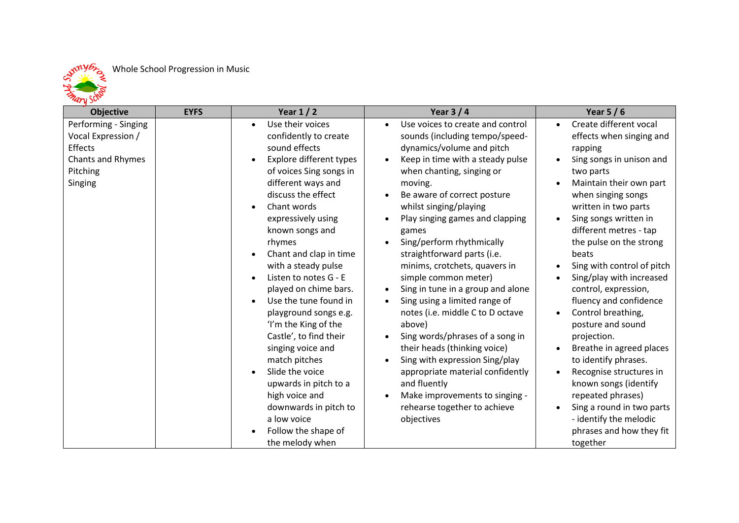

## **Objective EYFS Year 1 / 2 Year 3 / 4 Year 5 / 6** Performing - Singing Vocal Expression / **Effects** Chants and Rhymes Pitching Singing • Use their voices confidently to create sound effects • Explore different types of voices Sing songs in different ways and discuss the effect • Chant words expressively using known songs and rhymes • Chant and clap in time with a steady pulse • Listen to notes G - E played on chime bars. • Use the tune found in playground songs e.g. 'I'm the King of the Castle', to find their singing voice and match pitches • Slide the voice upwards in pitch to a high voice and downwards in pitch to a low voice • Follow the shape of • Use voices to create and control sounds (including tempo/speeddynamics/volume and pitch • Keep in time with a steady pulse when chanting, singing or moving. Be aware of correct posture whilst singing/playing • Play singing games and clapping games • Sing/perform rhythmically straightforward parts (i.e. minims, crotchets, quavers in simple common meter) • Sing in tune in a group and alone • Sing using a limited range of notes (i.e. middle C to D octave above) • Sing words/phrases of a song in their heads (thinking voice) • Sing with expression Sing/play appropriate material confidently and fluently • Make improvements to singing rehearse together to achieve objectives • Create different vocal effects when singing and rapping • Sing songs in unison and two parts • Maintain their own part when singing songs written in two parts • Sing songs written in different metres - tap the pulse on the strong beats • Sing with control of pitch • Sing/play with increased control, expression, fluency and confidence • Control breathing, posture and sound projection. • Breathe in agreed places to identify phrases. • Recognise structures in known songs (identify repeated phrases) • Sing a round in two parts - identify the melodic phrases and how they fit

together

the melody when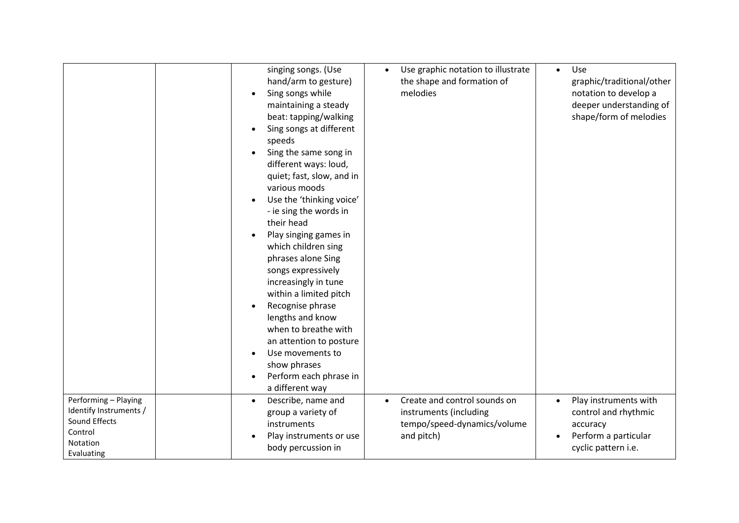|                                                                                                      | singing songs. (Use<br>hand/arm to gesture)<br>Sing songs while<br>maintaining a steady<br>beat: tapping/walking<br>Sing songs at different<br>speeds<br>Sing the same song in<br>different ways: loud,<br>quiet; fast, slow, and in<br>various moods<br>Use the 'thinking voice'<br>- ie sing the words in<br>their head<br>Play singing games in<br>which children sing<br>phrases alone Sing<br>songs expressively<br>increasingly in tune<br>within a limited pitch<br>Recognise phrase<br>lengths and know<br>when to breathe with<br>an attention to posture<br>Use movements to<br>show phrases<br>Perform each phrase in<br>a different way | Use graphic notation to illustrate<br>the shape and formation of<br>melodies                                     | Use<br>$\bullet$<br>graphic/traditional/other<br>notation to develop a<br>deeper understanding of<br>shape/form of melodies |
|------------------------------------------------------------------------------------------------------|-----------------------------------------------------------------------------------------------------------------------------------------------------------------------------------------------------------------------------------------------------------------------------------------------------------------------------------------------------------------------------------------------------------------------------------------------------------------------------------------------------------------------------------------------------------------------------------------------------------------------------------------------------|------------------------------------------------------------------------------------------------------------------|-----------------------------------------------------------------------------------------------------------------------------|
| Performing - Playing<br>Identify Instruments /<br>Sound Effects<br>Control<br>Notation<br>Evaluating | Describe, name and<br>group a variety of<br>instruments<br>Play instruments or use<br>body percussion in                                                                                                                                                                                                                                                                                                                                                                                                                                                                                                                                            | Create and control sounds on<br>$\bullet$<br>instruments (including<br>tempo/speed-dynamics/volume<br>and pitch) | Play instruments with<br>control and rhythmic<br>accuracy<br>Perform a particular<br>$\bullet$<br>cyclic pattern i.e.       |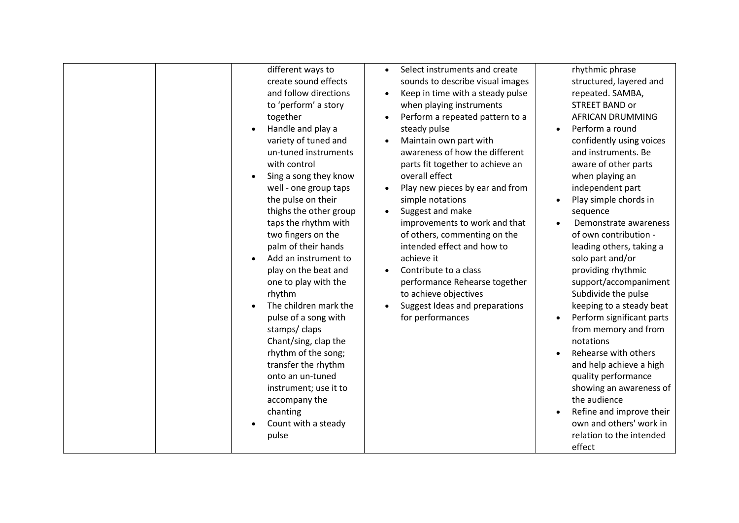| different ways to<br>create sound effects<br>and follow directions<br>to 'perform' a story<br>together<br>Handle and play a<br>variety of tuned and<br>un-tuned instruments<br>with control<br>Sing a song they know<br>well - one group taps<br>the pulse on their<br>thighs the other group<br>taps the rhythm with<br>two fingers on the<br>palm of their hands<br>Add an instrument to<br>play on the beat and<br>one to play with the<br>rhythm<br>The children mark the<br>pulse of a song with<br>stamps/claps<br>Chant/sing, clap the<br>rhythm of the song;<br>transfer the rhythm<br>onto an un-tuned<br>instrument; use it to<br>accompany the<br>chanting<br>Count with a steady<br>pulse | Select instruments and create<br>$\bullet$<br>sounds to describe visual images<br>Keep in time with a steady pulse<br>$\bullet$<br>when playing instruments<br>Perform a repeated pattern to a<br>steady pulse<br>Maintain own part with<br>$\bullet$<br>awareness of how the different<br>parts fit together to achieve an<br>overall effect<br>Play new pieces by ear and from<br>simple notations<br>Suggest and make<br>$\bullet$<br>improvements to work and that<br>of others, commenting on the<br>intended effect and how to<br>achieve it<br>Contribute to a class<br>performance Rehearse together<br>to achieve objectives<br>Suggest Ideas and preparations<br>for performances | rhythmic phrase<br>structured, layered and<br>repeated. SAMBA,<br><b>STREET BAND or</b><br><b>AFRICAN DRUMMING</b><br>Perform a round<br>$\bullet$<br>confidently using voices<br>and instruments. Be<br>aware of other parts<br>when playing an<br>independent part<br>Play simple chords in<br>sequence<br>Demonstrate awareness<br>of own contribution -<br>leading others, taking a<br>solo part and/or<br>providing rhythmic<br>support/accompaniment<br>Subdivide the pulse<br>keeping to a steady beat<br>Perform significant parts<br>from memory and from<br>notations<br>Rehearse with others<br>and help achieve a high<br>quality performance<br>showing an awareness of<br>the audience<br>Refine and improve their<br>own and others' work in<br>relation to the intended<br>effect |
|-------------------------------------------------------------------------------------------------------------------------------------------------------------------------------------------------------------------------------------------------------------------------------------------------------------------------------------------------------------------------------------------------------------------------------------------------------------------------------------------------------------------------------------------------------------------------------------------------------------------------------------------------------------------------------------------------------|---------------------------------------------------------------------------------------------------------------------------------------------------------------------------------------------------------------------------------------------------------------------------------------------------------------------------------------------------------------------------------------------------------------------------------------------------------------------------------------------------------------------------------------------------------------------------------------------------------------------------------------------------------------------------------------------|---------------------------------------------------------------------------------------------------------------------------------------------------------------------------------------------------------------------------------------------------------------------------------------------------------------------------------------------------------------------------------------------------------------------------------------------------------------------------------------------------------------------------------------------------------------------------------------------------------------------------------------------------------------------------------------------------------------------------------------------------------------------------------------------------|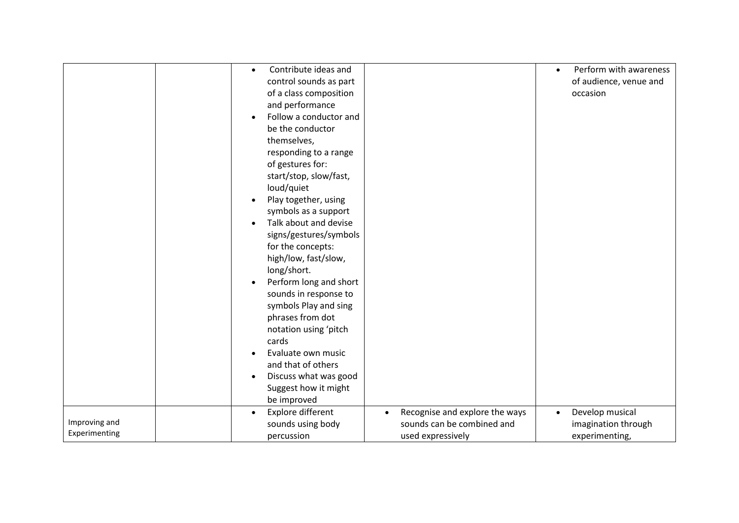|               | $\bullet$ | Contribute ideas and   |                                | Perform with awareness<br>$\bullet$ |
|---------------|-----------|------------------------|--------------------------------|-------------------------------------|
|               |           | control sounds as part |                                | of audience, venue and              |
|               |           | of a class composition |                                | occasion                            |
|               |           | and performance        |                                |                                     |
|               |           | Follow a conductor and |                                |                                     |
|               |           | be the conductor       |                                |                                     |
|               |           | themselves,            |                                |                                     |
|               |           | responding to a range  |                                |                                     |
|               |           | of gestures for:       |                                |                                     |
|               |           | start/stop, slow/fast, |                                |                                     |
|               |           | loud/quiet             |                                |                                     |
|               |           | Play together, using   |                                |                                     |
|               |           | symbols as a support   |                                |                                     |
|               |           | Talk about and devise  |                                |                                     |
|               |           | signs/gestures/symbols |                                |                                     |
|               |           | for the concepts:      |                                |                                     |
|               |           | high/low, fast/slow,   |                                |                                     |
|               |           | long/short.            |                                |                                     |
|               | $\bullet$ | Perform long and short |                                |                                     |
|               |           | sounds in response to  |                                |                                     |
|               |           | symbols Play and sing  |                                |                                     |
|               |           | phrases from dot       |                                |                                     |
|               |           | notation using 'pitch  |                                |                                     |
|               |           | cards                  |                                |                                     |
|               |           | Evaluate own music     |                                |                                     |
|               |           | and that of others     |                                |                                     |
|               | $\bullet$ | Discuss what was good  |                                |                                     |
|               |           | Suggest how it might   |                                |                                     |
|               |           | be improved            |                                |                                     |
|               |           | Explore different      | Recognise and explore the ways | Develop musical<br>$\bullet$        |
| Improving and |           | sounds using body      | sounds can be combined and     | imagination through                 |
| Experimenting |           | percussion             | used expressively              | experimenting,                      |
|               |           |                        |                                |                                     |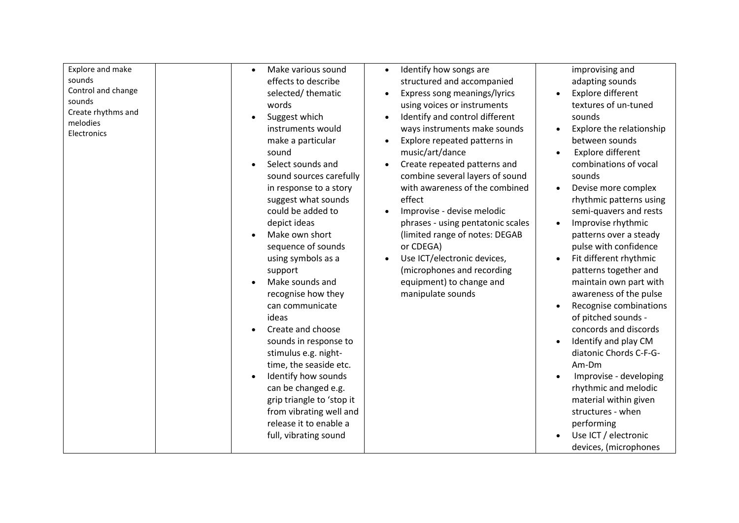| Explore and make<br>sounds<br>Control and change<br>sounds<br>Create rhythms and<br>melodies<br>Electronics | Make various sound<br>effects to describe<br>selected/thematic<br>words<br>Suggest which<br>$\bullet$<br>instruments would<br>make a particular<br>sound<br>Select sounds and<br>sound sources carefully<br>in response to a story<br>suggest what sounds<br>could be added to<br>depict ideas<br>Make own short<br>sequence of sounds<br>using symbols as a<br>support<br>Make sounds and<br>recognise how they<br>can communicate<br>ideas<br>Create and choose<br>sounds in response to<br>stimulus e.g. night-<br>time, the seaside etc.<br>Identify how sounds<br>can be changed e.g.<br>grip triangle to 'stop it<br>from vibrating well and<br>release it to enable a<br>full, vibrating sound | Identify how songs are<br>$\bullet$<br>structured and accompanied<br>Express song meanings/lyrics<br>using voices or instruments<br>Identify and control different<br>ways instruments make sounds<br>Explore repeated patterns in<br>music/art/dance<br>Create repeated patterns and<br>combine several layers of sound<br>with awareness of the combined<br>effect<br>Improvise - devise melodic<br>phrases - using pentatonic scales<br>(limited range of notes: DEGAB<br>or CDEGA)<br>Use ICT/electronic devices,<br>$\bullet$<br>(microphones and recording<br>equipment) to change and<br>manipulate sounds | improvising and<br>adapting sounds<br>Explore different<br>$\bullet$<br>textures of un-tuned<br>sounds<br>Explore the relationship<br>$\bullet$<br>between sounds<br>Explore different<br>combinations of vocal<br>sounds<br>Devise more complex<br>$\bullet$<br>rhythmic patterns using<br>semi-quavers and rests<br>Improvise rhythmic<br>patterns over a steady<br>pulse with confidence<br>Fit different rhythmic<br>$\bullet$<br>patterns together and<br>maintain own part with<br>awareness of the pulse<br>Recognise combinations<br>of pitched sounds -<br>concords and discords<br>Identify and play CM<br>$\bullet$<br>diatonic Chords C-F-G-<br>Am-Dm<br>Improvise - developing<br>rhythmic and melodic<br>material within given<br>structures - when<br>performing<br>Use ICT / electronic<br>devices, (microphones |
|-------------------------------------------------------------------------------------------------------------|-------------------------------------------------------------------------------------------------------------------------------------------------------------------------------------------------------------------------------------------------------------------------------------------------------------------------------------------------------------------------------------------------------------------------------------------------------------------------------------------------------------------------------------------------------------------------------------------------------------------------------------------------------------------------------------------------------|-------------------------------------------------------------------------------------------------------------------------------------------------------------------------------------------------------------------------------------------------------------------------------------------------------------------------------------------------------------------------------------------------------------------------------------------------------------------------------------------------------------------------------------------------------------------------------------------------------------------|----------------------------------------------------------------------------------------------------------------------------------------------------------------------------------------------------------------------------------------------------------------------------------------------------------------------------------------------------------------------------------------------------------------------------------------------------------------------------------------------------------------------------------------------------------------------------------------------------------------------------------------------------------------------------------------------------------------------------------------------------------------------------------------------------------------------------------|
|-------------------------------------------------------------------------------------------------------------|-------------------------------------------------------------------------------------------------------------------------------------------------------------------------------------------------------------------------------------------------------------------------------------------------------------------------------------------------------------------------------------------------------------------------------------------------------------------------------------------------------------------------------------------------------------------------------------------------------------------------------------------------------------------------------------------------------|-------------------------------------------------------------------------------------------------------------------------------------------------------------------------------------------------------------------------------------------------------------------------------------------------------------------------------------------------------------------------------------------------------------------------------------------------------------------------------------------------------------------------------------------------------------------------------------------------------------------|----------------------------------------------------------------------------------------------------------------------------------------------------------------------------------------------------------------------------------------------------------------------------------------------------------------------------------------------------------------------------------------------------------------------------------------------------------------------------------------------------------------------------------------------------------------------------------------------------------------------------------------------------------------------------------------------------------------------------------------------------------------------------------------------------------------------------------|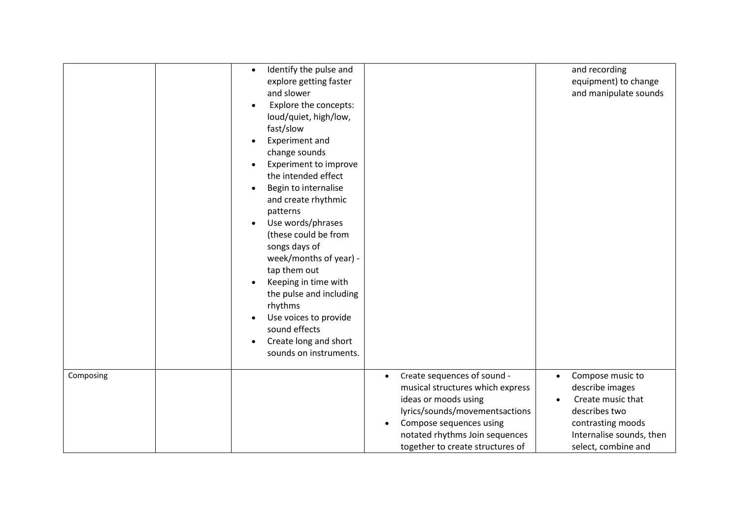|           | Identify the pulse and<br>$\bullet$<br>explore getting faster<br>and slower<br>Explore the concepts:<br>loud/quiet, high/low,<br>fast/slow<br>Experiment and<br>change sounds<br>Experiment to improve<br>the intended effect<br>Begin to internalise<br>and create rhythmic<br>patterns<br>Use words/phrases<br>(these could be from<br>songs days of<br>week/months of year) -<br>tap them out<br>Keeping in time with<br>the pulse and including<br>rhythms<br>Use voices to provide<br>sound effects<br>Create long and short<br>$\bullet$<br>sounds on instruments. |                                                                                                                                                                                                                                                      | and recording<br>equipment) to change<br>and manipulate sounds                                                                                                 |
|-----------|--------------------------------------------------------------------------------------------------------------------------------------------------------------------------------------------------------------------------------------------------------------------------------------------------------------------------------------------------------------------------------------------------------------------------------------------------------------------------------------------------------------------------------------------------------------------------|------------------------------------------------------------------------------------------------------------------------------------------------------------------------------------------------------------------------------------------------------|----------------------------------------------------------------------------------------------------------------------------------------------------------------|
| Composing |                                                                                                                                                                                                                                                                                                                                                                                                                                                                                                                                                                          | Create sequences of sound -<br>$\bullet$<br>musical structures which express<br>ideas or moods using<br>lyrics/sounds/movementsactions<br>Compose sequences using<br>$\bullet$<br>notated rhythms Join sequences<br>together to create structures of | Compose music to<br>$\bullet$<br>describe images<br>Create music that<br>describes two<br>contrasting moods<br>Internalise sounds, then<br>select, combine and |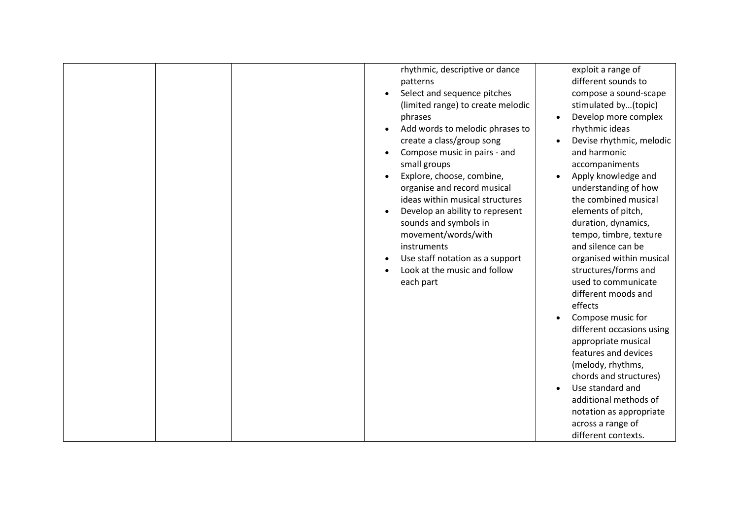|  | rhythmic, descriptive or dance<br>patterns<br>Select and sequence pitches<br>(limited range) to create melodic<br>phrases<br>Add words to melodic phrases to<br>$\bullet$<br>create a class/group song<br>Compose music in pairs - and<br>small groups<br>Explore, choose, combine,<br>organise and record musical<br>ideas within musical structures<br>Develop an ability to represent<br>sounds and symbols in<br>movement/words/with<br>instruments<br>Use staff notation as a support<br>Look at the music and follow<br>each part | exploit a range of<br>different sounds to<br>compose a sound-scape<br>stimulated by(topic)<br>Develop more complex<br>$\bullet$<br>rhythmic ideas<br>Devise rhythmic, melodic<br>and harmonic<br>accompaniments<br>Apply knowledge and<br>understanding of how<br>the combined musical<br>elements of pitch,<br>duration, dynamics,<br>tempo, timbre, texture<br>and silence can be<br>organised within musical<br>structures/forms and<br>used to communicate<br>different moods and<br>effects<br>Compose music for<br>different occasions using<br>appropriate musical<br>features and devices<br>(melody, rhythms,<br>chords and structures)<br>Use standard and<br>$\bullet$<br>additional methods of<br>notation as appropriate<br>across a range of<br>different contexts. |
|--|-----------------------------------------------------------------------------------------------------------------------------------------------------------------------------------------------------------------------------------------------------------------------------------------------------------------------------------------------------------------------------------------------------------------------------------------------------------------------------------------------------------------------------------------|-----------------------------------------------------------------------------------------------------------------------------------------------------------------------------------------------------------------------------------------------------------------------------------------------------------------------------------------------------------------------------------------------------------------------------------------------------------------------------------------------------------------------------------------------------------------------------------------------------------------------------------------------------------------------------------------------------------------------------------------------------------------------------------|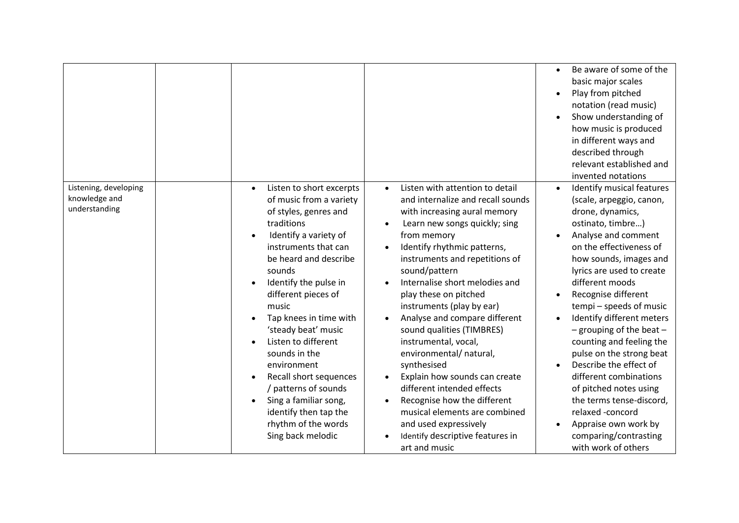|                                                         |                                                                                                                                                                                                                                                                                                                                                                                                                                                                                                 |                                                                                                                                                                                                                                                                                                                                                                                                                                                                                                                                                                                                                                                                                          | Be aware of some of the<br>$\bullet$<br>basic major scales<br>Play from pitched<br>notation (read music)<br>Show understanding of<br>how music is produced<br>in different ways and<br>described through<br>relevant established and<br>invented notations                                                                                                                                                                                                                                                                                                                                            |
|---------------------------------------------------------|-------------------------------------------------------------------------------------------------------------------------------------------------------------------------------------------------------------------------------------------------------------------------------------------------------------------------------------------------------------------------------------------------------------------------------------------------------------------------------------------------|------------------------------------------------------------------------------------------------------------------------------------------------------------------------------------------------------------------------------------------------------------------------------------------------------------------------------------------------------------------------------------------------------------------------------------------------------------------------------------------------------------------------------------------------------------------------------------------------------------------------------------------------------------------------------------------|-------------------------------------------------------------------------------------------------------------------------------------------------------------------------------------------------------------------------------------------------------------------------------------------------------------------------------------------------------------------------------------------------------------------------------------------------------------------------------------------------------------------------------------------------------------------------------------------------------|
| Listening, developing<br>knowledge and<br>understanding | Listen to short excerpts<br>of music from a variety<br>of styles, genres and<br>traditions<br>Identify a variety of<br>instruments that can<br>be heard and describe<br>sounds<br>Identify the pulse in<br>different pieces of<br>music<br>Tap knees in time with<br>'steady beat' music<br>Listen to different<br>sounds in the<br>environment<br>Recall short sequences<br>/ patterns of sounds<br>Sing a familiar song,<br>identify then tap the<br>rhythm of the words<br>Sing back melodic | Listen with attention to detail<br>$\bullet$<br>and internalize and recall sounds<br>with increasing aural memory<br>Learn new songs quickly; sing<br>from memory<br>Identify rhythmic patterns,<br>instruments and repetitions of<br>sound/pattern<br>Internalise short melodies and<br>play these on pitched<br>instruments (play by ear)<br>Analyse and compare different<br>sound qualities (TIMBRES)<br>instrumental, vocal,<br>environmental/ natural,<br>synthesised<br>Explain how sounds can create<br>different intended effects<br>Recognise how the different<br>musical elements are combined<br>and used expressively<br>Identify descriptive features in<br>art and music | Identify musical features<br>(scale, arpeggio, canon,<br>drone, dynamics,<br>ostinato, timbre)<br>Analyse and comment<br>on the effectiveness of<br>how sounds, images and<br>lyrics are used to create<br>different moods<br>Recognise different<br>tempi - speeds of music<br>Identify different meters<br>- grouping of the beat $-$<br>counting and feeling the<br>pulse on the strong beat<br>Describe the effect of<br>different combinations<br>of pitched notes using<br>the terms tense-discord,<br>relaxed -concord<br>Appraise own work by<br>comparing/contrasting<br>with work of others |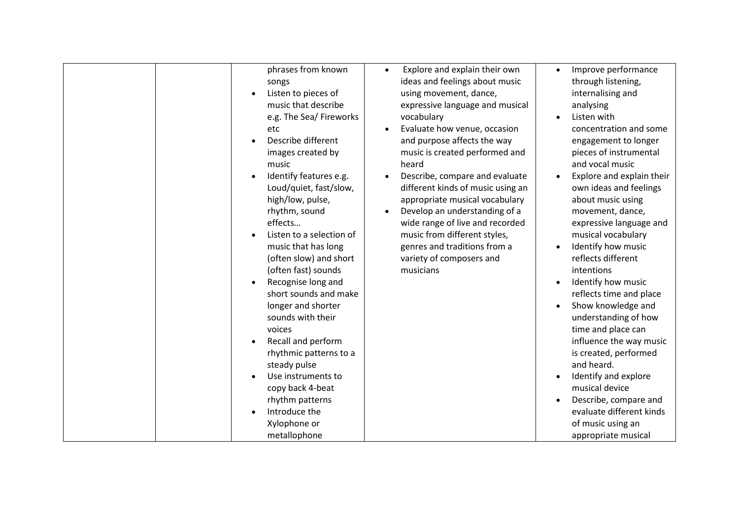| phrases from known<br>Explore and explain their own<br>$\bullet$<br>ideas and feelings about music<br>songs<br>Listen to pieces of<br>using movement, dance,<br>music that describe<br>expressive language and musical<br>e.g. The Sea/ Fireworks<br>vocabulary<br>Evaluate how venue, occasion<br>etc<br>Describe different<br>and purpose affects the way<br>images created by<br>music is created performed and<br>heard<br>music<br>Identify features e.g.<br>Describe, compare and evaluate<br>Loud/quiet, fast/slow,<br>different kinds of music using an<br>high/low, pulse,<br>appropriate musical vocabulary<br>rhythm, sound<br>Develop an understanding of a<br>effects<br>wide range of live and recorded<br>Listen to a selection of<br>music from different styles,<br>genres and traditions from a<br>music that has long<br>(often slow) and short<br>variety of composers and<br>(often fast) sounds<br>musicians<br>Recognise long and<br>$\bullet$<br>short sounds and make<br>longer and shorter<br>sounds with their<br>voices<br>Recall and perform<br>rhythmic patterns to a<br>steady pulse<br>Use instruments to | Improve performance<br>$\bullet$<br>through listening,<br>internalising and<br>analysing<br>Listen with<br>concentration and some<br>engagement to longer<br>pieces of instrumental<br>and vocal music<br>Explore and explain their<br>own ideas and feelings<br>about music using<br>movement, dance,<br>expressive language and<br>musical vocabulary<br>Identify how music<br>reflects different<br>intentions<br>Identify how music<br>reflects time and place<br>Show knowledge and |
|-------------------------------------------------------------------------------------------------------------------------------------------------------------------------------------------------------------------------------------------------------------------------------------------------------------------------------------------------------------------------------------------------------------------------------------------------------------------------------------------------------------------------------------------------------------------------------------------------------------------------------------------------------------------------------------------------------------------------------------------------------------------------------------------------------------------------------------------------------------------------------------------------------------------------------------------------------------------------------------------------------------------------------------------------------------------------------------------------------------------------------------------|------------------------------------------------------------------------------------------------------------------------------------------------------------------------------------------------------------------------------------------------------------------------------------------------------------------------------------------------------------------------------------------------------------------------------------------------------------------------------------------|
|-------------------------------------------------------------------------------------------------------------------------------------------------------------------------------------------------------------------------------------------------------------------------------------------------------------------------------------------------------------------------------------------------------------------------------------------------------------------------------------------------------------------------------------------------------------------------------------------------------------------------------------------------------------------------------------------------------------------------------------------------------------------------------------------------------------------------------------------------------------------------------------------------------------------------------------------------------------------------------------------------------------------------------------------------------------------------------------------------------------------------------------------|------------------------------------------------------------------------------------------------------------------------------------------------------------------------------------------------------------------------------------------------------------------------------------------------------------------------------------------------------------------------------------------------------------------------------------------------------------------------------------------|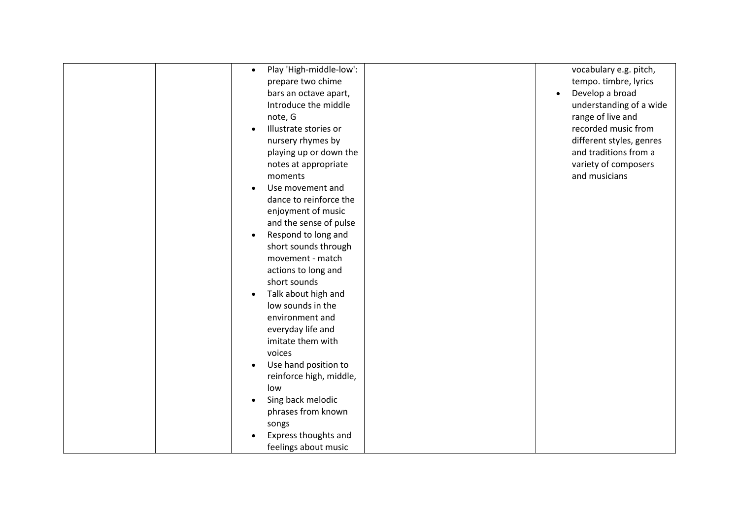| $\bullet$ | Play 'High-middle-low': | vocabulary e.g. pitch,   |
|-----------|-------------------------|--------------------------|
|           | prepare two chime       | tempo. timbre, lyrics    |
|           | bars an octave apart,   | Develop a broad          |
|           | Introduce the middle    | understanding of a wide  |
|           | note, G                 | range of live and        |
|           | Illustrate stories or   | recorded music from      |
|           | nursery rhymes by       | different styles, genres |
|           | playing up or down the  | and traditions from a    |
|           | notes at appropriate    | variety of composers     |
|           | moments                 | and musicians            |
|           | Use movement and        |                          |
|           | dance to reinforce the  |                          |
|           | enjoyment of music      |                          |
|           | and the sense of pulse  |                          |
| $\bullet$ | Respond to long and     |                          |
|           | short sounds through    |                          |
|           | movement - match        |                          |
|           | actions to long and     |                          |
|           | short sounds            |                          |
|           | Talk about high and     |                          |
|           | low sounds in the       |                          |
|           | environment and         |                          |
|           | everyday life and       |                          |
|           | imitate them with       |                          |
|           | voices                  |                          |
|           | Use hand position to    |                          |
|           | reinforce high, middle, |                          |
|           | low                     |                          |
|           | Sing back melodic       |                          |
|           | phrases from known      |                          |
|           | songs                   |                          |
|           | Express thoughts and    |                          |
|           | feelings about music    |                          |